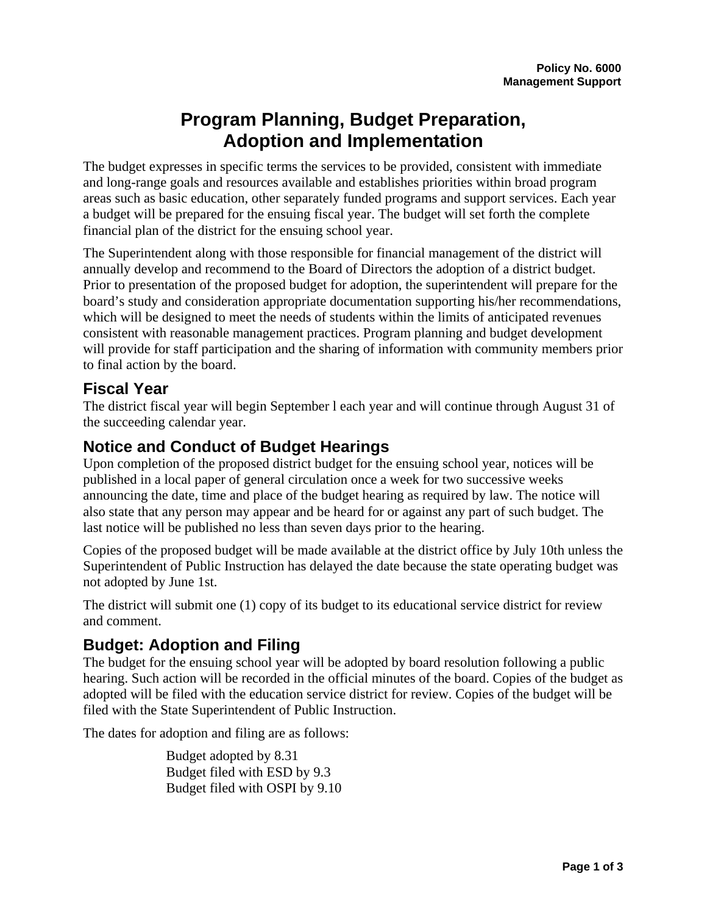# **Program Planning, Budget Preparation, Adoption and Implementation**

The budget expresses in specific terms the services to be provided, consistent with immediate and long-range goals and resources available and establishes priorities within broad program areas such as basic education, other separately funded programs and support services. Each year a budget will be prepared for the ensuing fiscal year. The budget will set forth the complete financial plan of the district for the ensuing school year.

The Superintendent along with those responsible for financial management of the district will annually develop and recommend to the Board of Directors the adoption of a district budget. Prior to presentation of the proposed budget for adoption, the superintendent will prepare for the board's study and consideration appropriate documentation supporting his/her recommendations, which will be designed to meet the needs of students within the limits of anticipated revenues consistent with reasonable management practices. Program planning and budget development will provide for staff participation and the sharing of information with community members prior to final action by the board.

## **Fiscal Year**

The district fiscal year will begin September l each year and will continue through August 31 of the succeeding calendar year.

## **Notice and Conduct of Budget Hearings**

Upon completion of the proposed district budget for the ensuing school year, notices will be published in a local paper of general circulation once a week for two successive weeks announcing the date, time and place of the budget hearing as required by law. The notice will also state that any person may appear and be heard for or against any part of such budget. The last notice will be published no less than seven days prior to the hearing.

Copies of the proposed budget will be made available at the district office by July 10th unless the Superintendent of Public Instruction has delayed the date because the state operating budget was not adopted by June 1st.

The district will submit one (1) copy of its budget to its educational service district for review and comment.

## **Budget: Adoption and Filing**

The budget for the ensuing school year will be adopted by board resolution following a public hearing. Such action will be recorded in the official minutes of the board. Copies of the budget as adopted will be filed with the education service district for review. Copies of the budget will be filed with the State Superintendent of Public Instruction.

The dates for adoption and filing are as follows:

 Budget adopted by 8.31 Budget filed with ESD by 9.3 Budget filed with OSPI by 9.10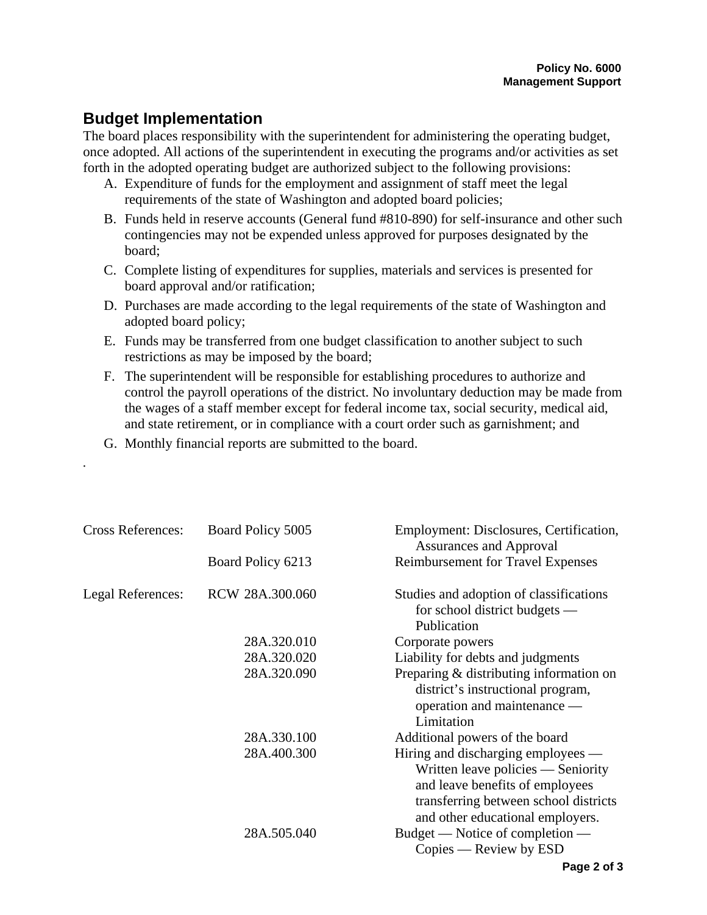## **Budget Implementation**

*.* 

The board places responsibility with the superintendent for administering the operating budget, once adopted. All actions of the superintendent in executing the programs and/or activities as set forth in the adopted operating budget are authorized subject to the following provisions:

- A. Expenditure of funds for the employment and assignment of staff meet the legal requirements of the state of Washington and adopted board policies;
- B. Funds held in reserve accounts (General fund #810-890) for self-insurance and other such contingencies may not be expended unless approved for purposes designated by the board;
- C. Complete listing of expenditures for supplies, materials and services is presented for board approval and/or ratification;
- D. Purchases are made according to the legal requirements of the state of Washington and adopted board policy;
- E. Funds may be transferred from one budget classification to another subject to such restrictions as may be imposed by the board;
- F. The superintendent will be responsible for establishing procedures to authorize and control the payroll operations of the district. No involuntary deduction may be made from the wages of a staff member except for federal income tax, social security, medical aid, and state retirement, or in compliance with a court order such as garnishment; and
- G. Monthly financial reports are submitted to the board.

| <b>Cross References:</b> | Board Policy 5005 | Employment: Disclosures, Certification,<br><b>Assurances and Approval</b>                                                                                                                |
|--------------------------|-------------------|------------------------------------------------------------------------------------------------------------------------------------------------------------------------------------------|
|                          | Board Policy 6213 | Reimbursement for Travel Expenses                                                                                                                                                        |
| Legal References:        | RCW 28A.300.060   | Studies and adoption of classifications<br>for school district budgets $-$<br>Publication                                                                                                |
|                          | 28A.320.010       | Corporate powers                                                                                                                                                                         |
|                          | 28A.320.020       | Liability for debts and judgments                                                                                                                                                        |
|                          | 28A.320.090       | Preparing & distributing information on<br>district's instructional program,<br>operation and maintenance —<br>Limitation                                                                |
|                          | 28A.330.100       | Additional powers of the board                                                                                                                                                           |
|                          | 28A.400.300       | Hiring and discharging employees —<br>Written leave policies — Seniority<br>and leave benefits of employees<br>transferring between school districts<br>and other educational employers. |
|                          | 28A.505.040       | Budget — Notice of completion —<br>$Copies$ — Review by $ESD$                                                                                                                            |